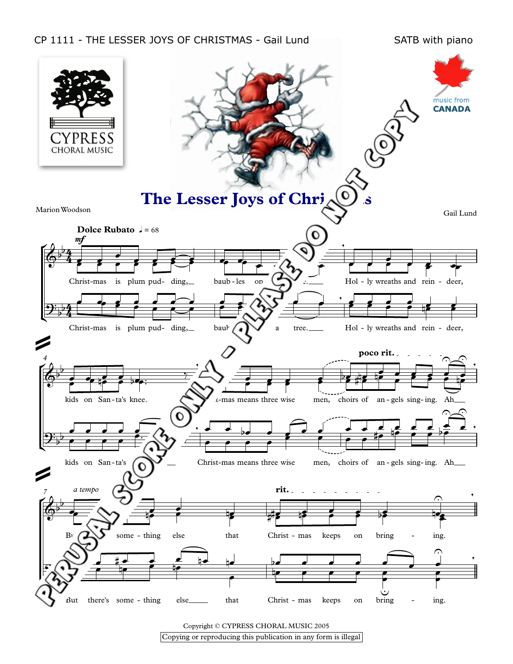## CP 1111 - THE LESSER JOYS OF CHRISTMAS - Gail Lund SATB with piano



Copyright © CYPRESS CHORAL MUSIC 2005

Copying or reproducing this publication in any form is illegal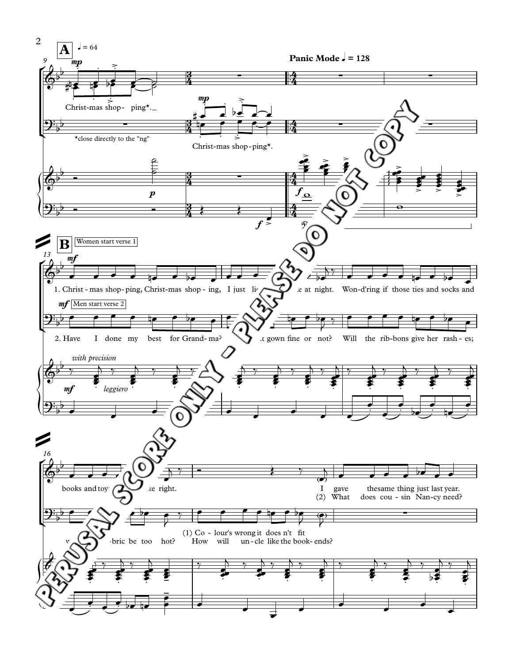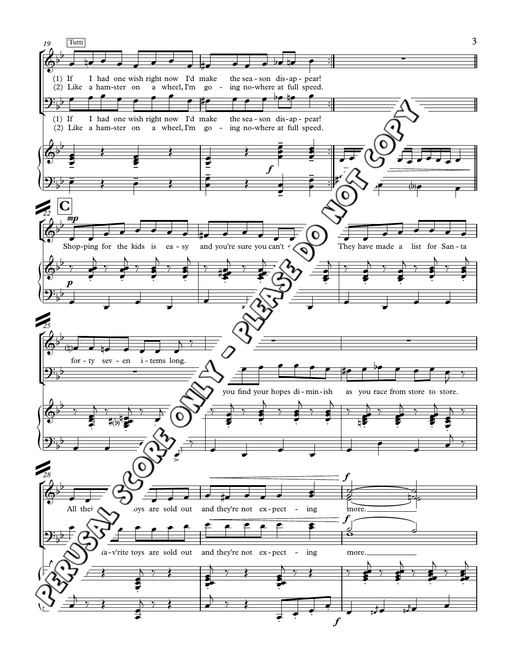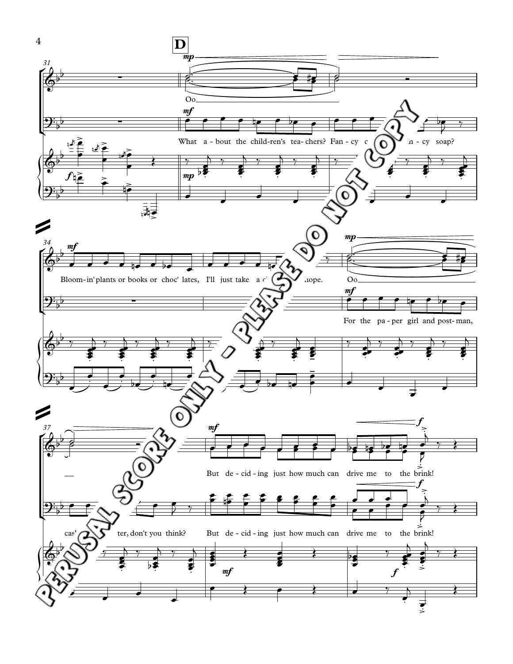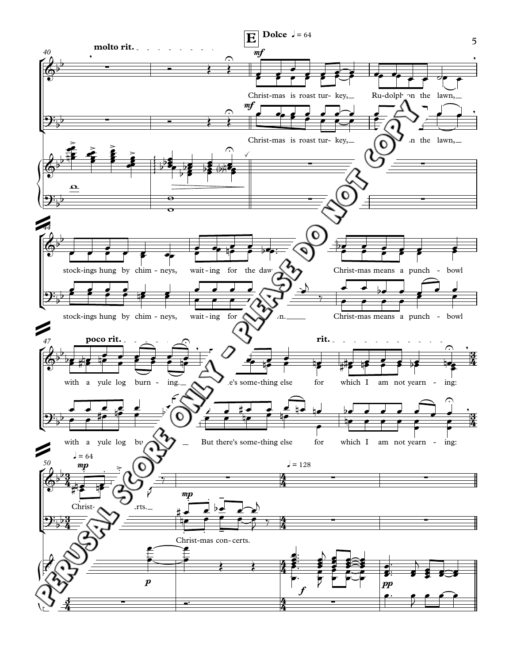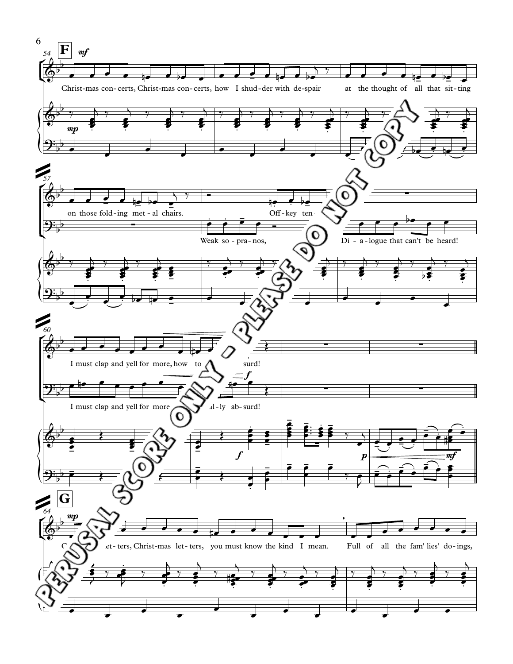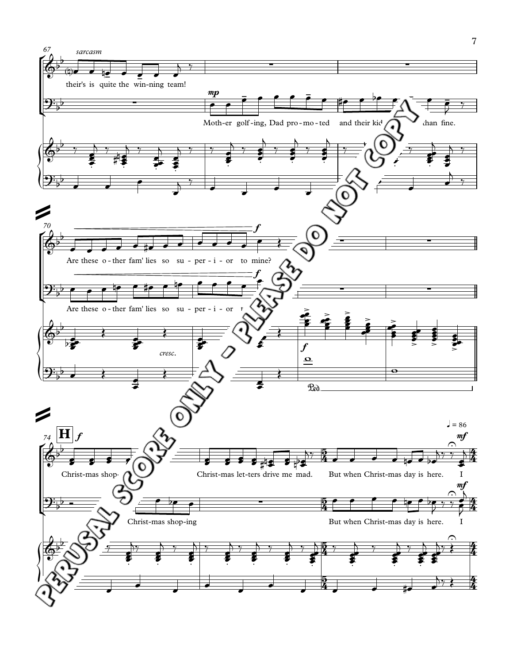![](_page_6_Figure_0.jpeg)